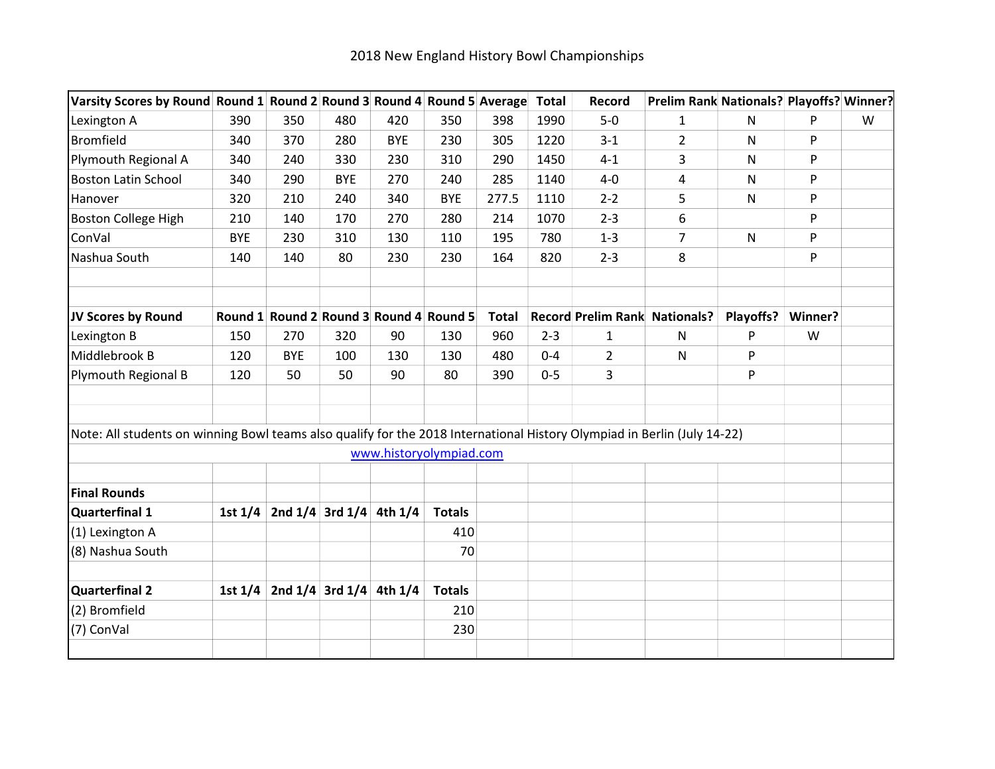| Varsity Scores by Round Round 1 Round 2 Round 3 Round 4 Round 5 Average                                                  |            |                                         |            |            |                         |              | <b>Total</b> | Record         | Prelim Rank Nationals? Playoffs? Winner? |              |         |   |
|--------------------------------------------------------------------------------------------------------------------------|------------|-----------------------------------------|------------|------------|-------------------------|--------------|--------------|----------------|------------------------------------------|--------------|---------|---|
| Lexington A                                                                                                              | 390        | 350                                     | 480        | 420        | 350                     | 398          | 1990         | $5-0$          | 1                                        | N            | P       | W |
| <b>Bromfield</b>                                                                                                         | 340        | 370                                     | 280        | <b>BYE</b> | 230                     | 305          | 1220         | $3 - 1$        | $\overline{2}$                           | N            | P       |   |
| Plymouth Regional A                                                                                                      | 340        | 240                                     | 330        | 230        | 310                     | 290          | 1450         | $4 - 1$        | 3                                        | N            | P       |   |
| <b>Boston Latin School</b>                                                                                               | 340        | 290                                     | <b>BYE</b> | 270        | 240                     | 285          | 1140         | $4-0$          | 4                                        | $\mathsf{N}$ | P       |   |
| Hanover                                                                                                                  | 320        | 210                                     | 240        | 340        | <b>BYE</b>              | 277.5        | 1110         | $2 - 2$        | 5                                        | N            | P       |   |
| <b>Boston College High</b>                                                                                               | 210        | 140                                     | 170        | 270        | 280                     | 214          | 1070         | $2 - 3$        | 6                                        |              | P       |   |
| ConVal                                                                                                                   | <b>BYE</b> | 230                                     | 310        | 130        | 110                     | 195          | 780          | $1 - 3$        | $\overline{7}$                           | $\mathsf{N}$ | P       |   |
| Nashua South                                                                                                             | 140        | 140                                     | 80         | 230        | 230                     | 164          | 820          | $2 - 3$        | 8                                        |              | P       |   |
| JV Scores by Round                                                                                                       |            | Round 1 Round 2 Round 3 Round 4 Round 5 |            |            |                         | <b>Total</b> |              |                | <b>Record Prelim Rank Nationals?</b>     | Playoffs?    | Winner? |   |
| Lexington B                                                                                                              | 150        | 270                                     | 320        | 90         | 130                     | 960          | $2 - 3$      | 1              | N                                        | P            | W       |   |
| Middlebrook B                                                                                                            | 120        | <b>BYE</b>                              | 100        | 130        | 130                     | 480          | $0 - 4$      | $\overline{2}$ | $\mathsf{N}$                             | P            |         |   |
| Plymouth Regional B                                                                                                      | 120        | 50                                      | 50         | 90         | 80                      | 390          | $0 - 5$      | 3              |                                          | P            |         |   |
|                                                                                                                          |            |                                         |            |            |                         |              |              |                |                                          |              |         |   |
| Note: All students on winning Bowl teams also qualify for the 2018 International History Olympiad in Berlin (July 14-22) |            |                                         |            |            |                         |              |              |                |                                          |              |         |   |
|                                                                                                                          |            |                                         |            |            | www.historyolympiad.com |              |              |                |                                          |              |         |   |
| <b>Final Rounds</b>                                                                                                      |            |                                         |            |            |                         |              |              |                |                                          |              |         |   |
| Quarterfinal 1                                                                                                           |            | 1st $1/4$ 2nd $1/4$ 3rd $1/4$ 4th $1/4$ |            |            | <b>Totals</b>           |              |              |                |                                          |              |         |   |
| (1) Lexington A                                                                                                          |            |                                         |            |            | 410                     |              |              |                |                                          |              |         |   |
| (8) Nashua South                                                                                                         |            |                                         |            |            | 70                      |              |              |                |                                          |              |         |   |
|                                                                                                                          |            |                                         |            |            |                         |              |              |                |                                          |              |         |   |
| <b>Quarterfinal 2</b>                                                                                                    |            | 1st $1/4$ 2nd $1/4$ 3rd $1/4$ 4th $1/4$ |            |            | <b>Totals</b>           |              |              |                |                                          |              |         |   |
| (2) Bromfield                                                                                                            |            |                                         |            |            | 210                     |              |              |                |                                          |              |         |   |
| (7) ConVal                                                                                                               |            |                                         |            |            | 230                     |              |              |                |                                          |              |         |   |
|                                                                                                                          |            |                                         |            |            |                         |              |              |                |                                          |              |         |   |